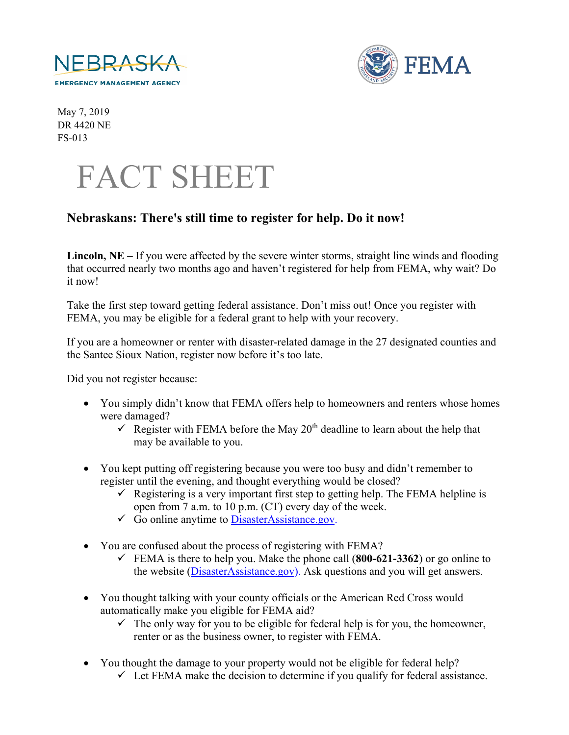



May 7, 2019 DR 4420 NE FS-013



## **Nebraskans: There's still time to register for help. Do it now!**

**Lincoln, NE –** If you were affected by the severe winter storms, straight line winds and flooding that occurred nearly two months ago and haven't registered for help from FEMA, why wait? Do it now!

Take the first step toward getting federal assistance. Don't miss out! Once you register with FEMA, you may be eligible for a federal grant to help with your recovery.

If you are a homeowner or renter with disaster-related damage in the 27 designated counties and the Santee Sioux Nation, register now before it's too late.

Did you not register because:

- You simply didn't know that FEMA offers help to homeowners and renters whose homes were damaged?
	- Register with FEMA before the May  $20<sup>th</sup>$  deadline to learn about the help that may be available to you.
- You kept putting off registering because you were too busy and didn't remember to register until the evening, and thought everything would be closed?
	- Registering is a very important first step to getting help. The FEMA helpline is open from 7 a.m. to 10 p.m. (CT) every day of the week.
	- $\checkmark$  Go online anytime to DisasterAssistance.gov.
- You are confused about the process of registering with FEMA?
	- FEMA is there to help you. Make the phone call  $(800-621-3362)$  or go online to the website (DisasterAssistance.gov). Ask questions and you will get answers.
- You thought talking with your county officials or the American Red Cross would automatically make you eligible for FEMA aid?
	- $\checkmark$  The only way for you to be eligible for federal help is for you, the homeowner, renter or as the business owner, to register with FEMA.
- You thought the damage to your property would not be eligible for federal help?
	- $\checkmark$  Let FEMA make the decision to determine if you qualify for federal assistance.